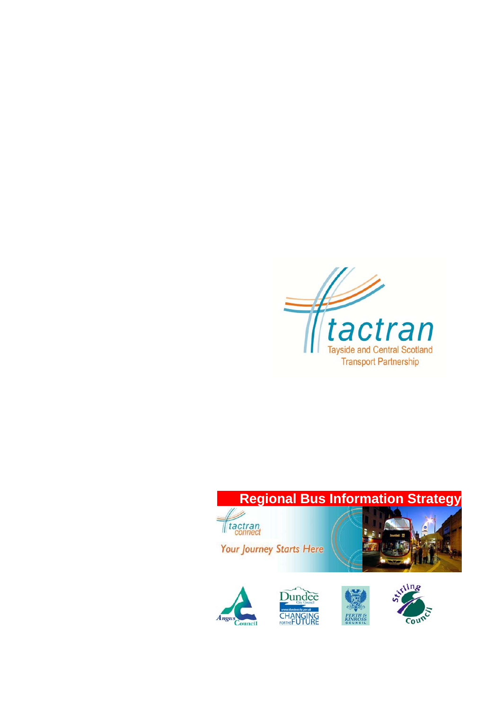

# **Regional Bus Information Strategy**



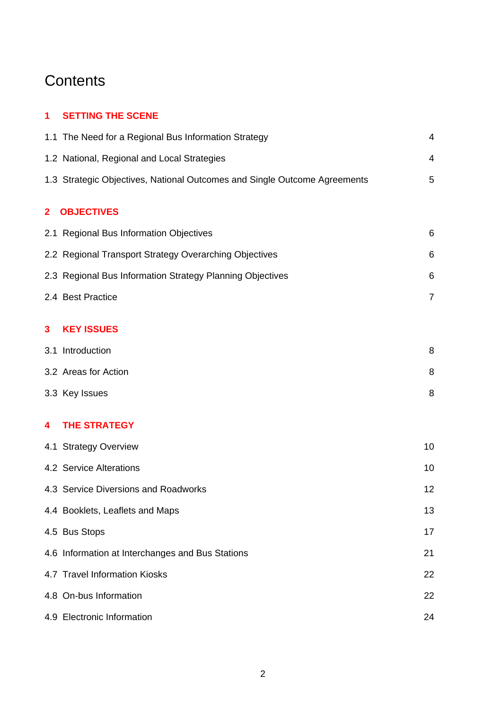## **Contents**

## **1 SETTING THE SCENE**

|              | 1.1 The Need for a Regional Bus Information Strategy                      | $\overline{4}$ |
|--------------|---------------------------------------------------------------------------|----------------|
|              | 1.2 National, Regional and Local Strategies                               | 4              |
|              | 1.3 Strategic Objectives, National Outcomes and Single Outcome Agreements | 5              |
| $\mathbf{2}$ | <b>OBJECTIVES</b>                                                         |                |
|              | 2.1 Regional Bus Information Objectives                                   | 6              |
|              | 2.2 Regional Transport Strategy Overarching Objectives                    | 6              |
|              | 2.3 Regional Bus Information Strategy Planning Objectives                 | 6              |
|              | 2.4 Best Practice                                                         | $\overline{7}$ |
| 3            | <b>KEY ISSUES</b>                                                         |                |
|              | 3.1 Introduction                                                          | 8              |
|              | 3.2 Areas for Action                                                      | 8              |
|              | 3.3 Key Issues                                                            | 8              |
| 4            | <b>THE STRATEGY</b>                                                       |                |
|              | 4.1 Strategy Overview                                                     | 10             |
|              | 4.2 Service Alterations                                                   | 10             |
|              | 4.3 Service Diversions and Roadworks                                      | 12             |
|              | 4.4 Booklets, Leaflets and Maps                                           | 13             |
|              | 4.5 Bus Stops                                                             | 17             |
|              | 4.6 Information at Interchanges and Bus Stations                          | 21             |
|              | 4.7 Travel Information Kiosks                                             | 22             |
|              | 4.8 On-bus Information                                                    | 22             |
|              | 4.9 Electronic Information                                                | 24             |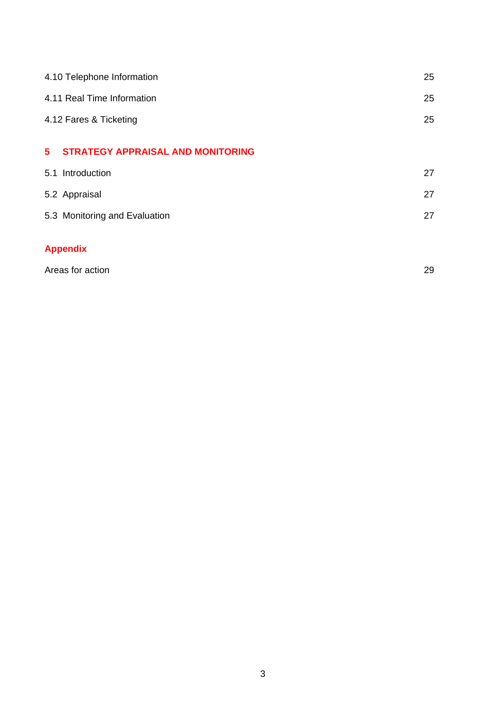|             | 4.10 Telephone Information               | 25 |
|-------------|------------------------------------------|----|
|             | 4.11 Real Time Information               | 25 |
|             | 4.12 Fares & Ticketing                   |    |
|             |                                          |    |
| $5^{\circ}$ | <b>STRATEGY APPRAISAL AND MONITORING</b> |    |
|             | 5.1 Introduction                         | 27 |
|             | 5.2 Appraisal                            | 27 |
|             | 5.3 Monitoring and Evaluation            | 27 |
|             |                                          |    |
|             | <b>Appendix</b>                          |    |

| Areas for action |  |
|------------------|--|
|                  |  |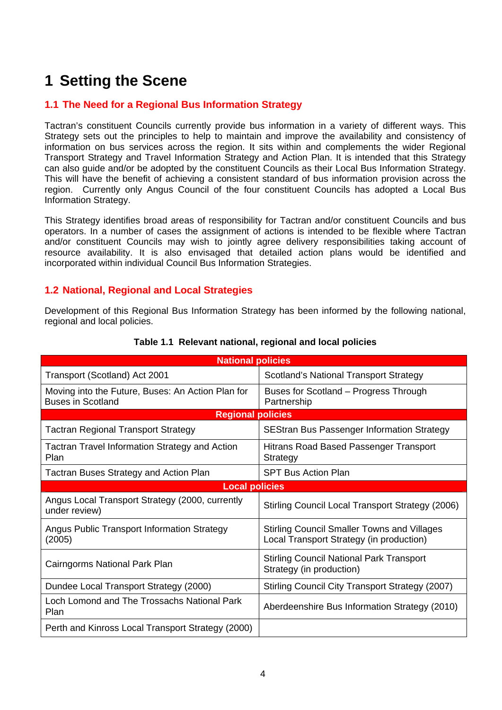## **1 Setting the Scene**

## **1.1 The Need for a Regional Bus Information Strategy**

Tactran's constituent Councils currently provide bus information in a variety of different ways. This Strategy sets out the principles to help to maintain and improve the availability and consistency of information on bus services across the region. It sits within and complements the wider Regional Transport Strategy and Travel Information Strategy and Action Plan. It is intended that this Strategy can also guide and/or be adopted by the constituent Councils as their Local Bus Information Strategy. This will have the benefit of achieving a consistent standard of bus information provision across the region. Currently only Angus Council of the four constituent Councils has adopted a Local Bus Information Strategy.

This Strategy identifies broad areas of responsibility for Tactran and/or constituent Councils and bus operators. In a number of cases the assignment of actions is intended to be flexible where Tactran and/or constituent Councils may wish to jointly agree delivery responsibilities taking account of resource availability. It is also envisaged that detailed action plans would be identified and incorporated within individual Council Bus Information Strategies.

## **1.2 National, Regional and Local Strategies**

Development of this Regional Bus Information Strategy has been informed by the following national, regional and local policies.

| <b>National policies</b>                                                      |                                                                                                |  |  |
|-------------------------------------------------------------------------------|------------------------------------------------------------------------------------------------|--|--|
| Transport (Scotland) Act 2001                                                 | Scotland's National Transport Strategy                                                         |  |  |
| Moving into the Future, Buses: An Action Plan for<br><b>Buses in Scotland</b> | Buses for Scotland – Progress Through<br>Partnership                                           |  |  |
| <b>Regional policies</b>                                                      |                                                                                                |  |  |
| <b>Tactran Regional Transport Strategy</b>                                    | <b>SEStran Bus Passenger Information Strategy</b>                                              |  |  |
| <b>Tactran Travel Information Strategy and Action</b><br>Plan                 | Hitrans Road Based Passenger Transport<br>Strategy                                             |  |  |
| <b>Tactran Buses Strategy and Action Plan</b>                                 | <b>SPT Bus Action Plan</b>                                                                     |  |  |
| <b>Local policies</b>                                                         |                                                                                                |  |  |
| Angus Local Transport Strategy (2000, currently<br>under review)              | Stirling Council Local Transport Strategy (2006)                                               |  |  |
| Angus Public Transport Information Strategy<br>(2005)                         | <b>Stirling Council Smaller Towns and Villages</b><br>Local Transport Strategy (in production) |  |  |
| Cairngorms National Park Plan                                                 | <b>Stirling Council National Park Transport</b><br>Strategy (in production)                    |  |  |
| Dundee Local Transport Strategy (2000)                                        | Stirling Council City Transport Strategy (2007)                                                |  |  |
| Loch Lomond and The Trossachs National Park<br>Plan                           | Aberdeenshire Bus Information Strategy (2010)                                                  |  |  |
| Perth and Kinross Local Transport Strategy (2000)                             |                                                                                                |  |  |

#### **Table 1.1 Relevant national, regional and local policies**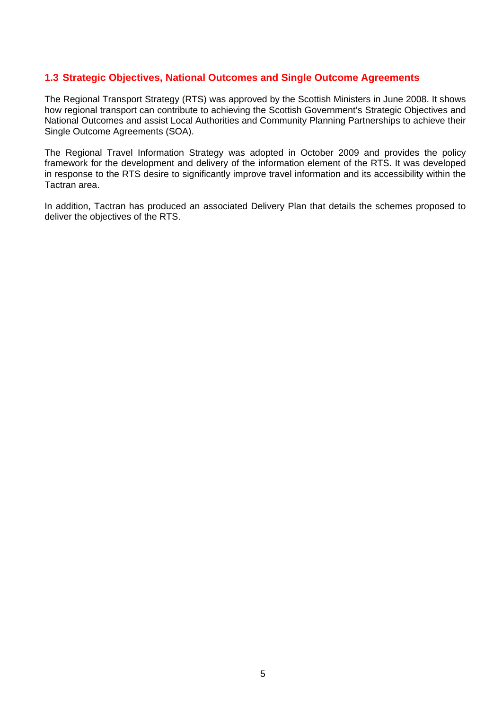## **1.3 Strategic Objectives, National Outcomes and Single Outcome Agreements**

The Regional Transport Strategy (RTS) was approved by the Scottish Ministers in June 2008. It shows how regional transport can contribute to achieving the Scottish Government's Strategic Objectives and National Outcomes and assist Local Authorities and Community Planning Partnerships to achieve their Single Outcome Agreements (SOA).

The Regional Travel Information Strategy was adopted in October 2009 and provides the policy framework for the development and delivery of the information element of the RTS. It was developed in response to the RTS desire to significantly improve travel information and its accessibility within the Tactran area.

In addition, Tactran has produced an associated Delivery Plan that details the schemes proposed to deliver the objectives of the RTS.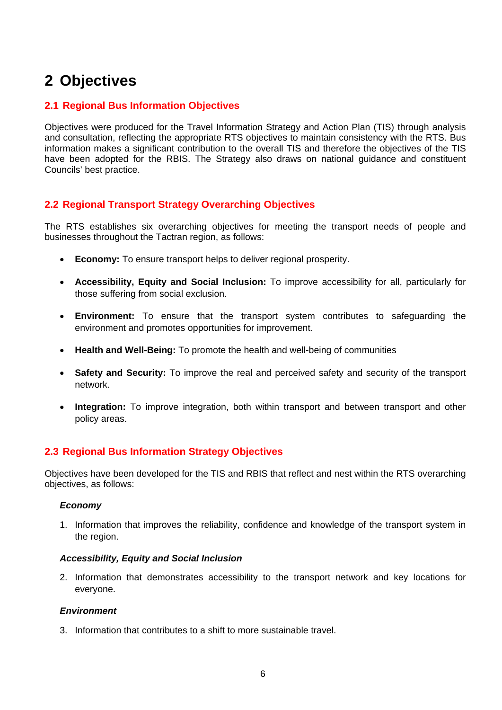## **2 Objectives**

## **2.1 Regional Bus Information Objectives**

Objectives were produced for the Travel Information Strategy and Action Plan (TIS) through analysis and consultation, reflecting the appropriate RTS objectives to maintain consistency with the RTS. Bus information makes a significant contribution to the overall TIS and therefore the objectives of the TIS have been adopted for the RBIS. The Strategy also draws on national guidance and constituent Councils' best practice.

## **2.2 Regional Transport Strategy Overarching Objectives**

The RTS establishes six overarching objectives for meeting the transport needs of people and businesses throughout the Tactran region, as follows:

- **Economy:** To ensure transport helps to deliver regional prosperity.
- **Accessibility, Equity and Social Inclusion:** To improve accessibility for all, particularly for those suffering from social exclusion.
- **Environment:** To ensure that the transport system contributes to safeguarding the environment and promotes opportunities for improvement.
- **Health and Well-Being:** To promote the health and well-being of communities
- **Safety and Security:** To improve the real and perceived safety and security of the transport network.
- **Integration:** To improve integration, both within transport and between transport and other policy areas.

## **2.3 Regional Bus Information Strategy Objectives**

Objectives have been developed for the TIS and RBIS that reflect and nest within the RTS overarching objectives, as follows:

#### *Economy*

1. Information that improves the reliability, confidence and knowledge of the transport system in the region.

#### *Accessibility, Equity and Social Inclusion*

2. Information that demonstrates accessibility to the transport network and key locations for everyone.

#### *Environment*

3. Information that contributes to a shift to more sustainable travel.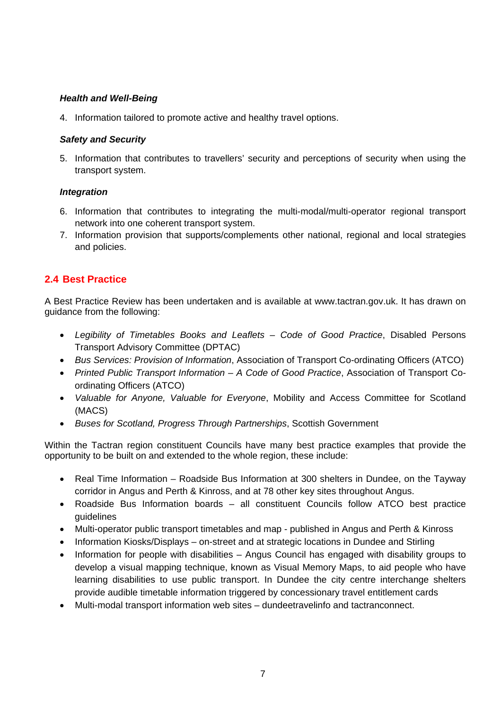#### *Health and Well-Being*

4. Information tailored to promote active and healthy travel options.

#### *Safety and Security*

5. Information that contributes to travellers' security and perceptions of security when using the transport system.

#### *Integration*

- 6. Information that contributes to integrating the multi-modal/multi-operator regional transport network into one coherent transport system.
- 7. Information provision that supports/complements other national, regional and local strategies and policies.

## **2.4 Best Practice**

A Best Practice Review has been undertaken and is available at [www.tactran.gov.uk](http://www.tactran.gov.uk/). It has drawn on guidance from the following:

- *Legibility of Timetables Books and Leaflets Code of Good Practice*, Disabled Persons Transport Advisory Committee (DPTAC)
- *Bus Services: Provision of Information*, Association of Transport Co-ordinating Officers (ATCO)
- *Printed Public Transport Information A Code of Good Practice*, Association of Transport Coordinating Officers (ATCO)
- *Valuable for Anyone, Valuable for Everyone*, Mobility and Access Committee for Scotland (MACS)
- *Buses for Scotland, Progress Through Partnerships*, Scottish Government

Within the Tactran region constituent Councils have many best practice examples that provide the opportunity to be built on and extended to the whole region, these include:

- Real Time Information Roadside Bus Information at 300 shelters in Dundee, on the Tayway corridor in Angus and Perth & Kinross, and at 78 other key sites throughout Angus.
- Roadside Bus Information boards all constituent Councils follow ATCO best practice guidelines
- Multi-operator public transport timetables and map published in Angus and Perth & Kinross
- Information Kiosks/Displays on-street and at strategic locations in Dundee and Stirling
- Information for people with disabilities Angus Council has engaged with disability groups to develop a visual mapping technique, known as Visual Memory Maps, to aid people who have learning disabilities to use public transport. In Dundee the city centre interchange shelters provide audible timetable information triggered by concessionary travel entitlement cards
- Multi-modal transport information web sites dundeetravelinfo and tactranconnect.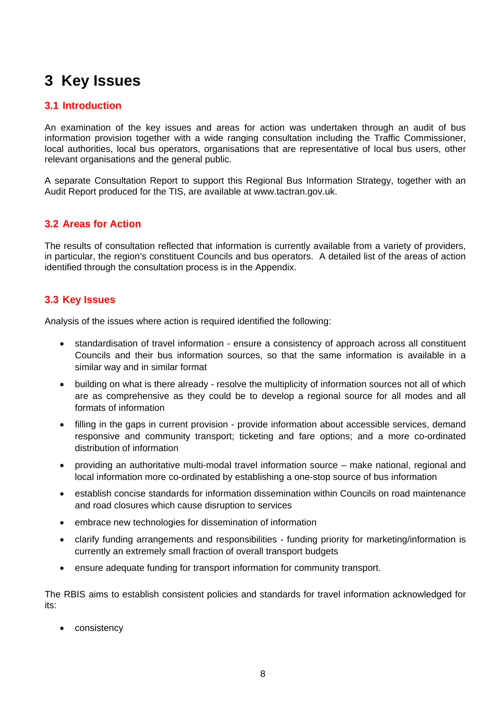## **3 Key Issues**

## **3.1 Introduction**

An examination of the key issues and areas for action was undertaken through an audit of bus information provision together with a wide ranging consultation including the Traffic Commissioner, local authorities, local bus operators, organisations that are representative of local bus users, other relevant organisations and the general public.

A separate Consultation Report to support this Regional Bus Information Strategy, together with an Audit Report produced for the TIS, are available at [www.tactran.gov.uk](http://www.tactran.gov.uk/).

## **3.2 Areas for Action**

The results of consultation reflected that information is currently available from a variety of providers, in particular, the region's constituent Councils and bus operators. A detailed list of the areas of action identified through the consultation process is in the Appendix.

## **3.3 Key Issues**

Analysis of the issues where action is required identified the following:

- standardisation of travel information ensure a consistency of approach across all constituent Councils and their bus information sources, so that the same information is available in a similar way and in similar format
- building on what is there already resolve the multiplicity of information sources not all of which are as comprehensive as they could be to develop a regional source for all modes and all formats of information
- filling in the gaps in current provision provide information about accessible services, demand responsive and community transport; ticketing and fare options; and a more co-ordinated distribution of information
- providing an authoritative multi-modal travel information source make national, regional and local information more co-ordinated by establishing a one-stop source of bus information
- establish concise standards for information dissemination within Councils on road maintenance and road closures which cause disruption to services
- embrace new technologies for dissemination of information
- clarify funding arrangements and responsibilities funding priority for marketing/information is currently an extremely small fraction of overall transport budgets
- ensure adequate funding for transport information for community transport.

The RBIS aims to establish consistent policies and standards for travel information acknowledged for its:

• consistency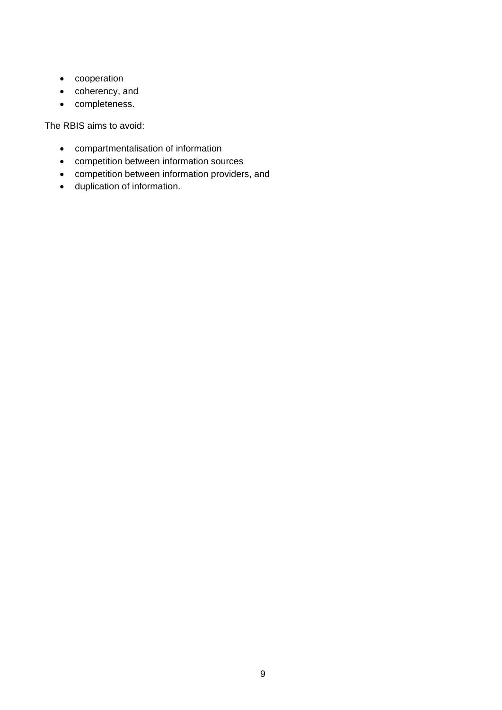- cooperation
- coherency, and
- completeness.

The RBIS aims to avoid:

- compartmentalisation of information
- competition between information sources
- competition between information providers, and
- duplication of information.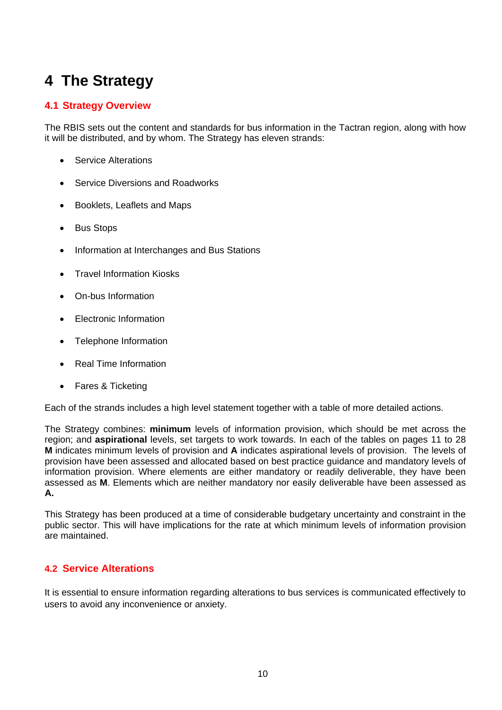## **4 The Strategy**

## **4.1 Strategy Overview**

The RBIS sets out the content and standards for bus information in the Tactran region, along with how it will be distributed, and by whom. The Strategy has eleven strands:

- Service Alterations
- Service Diversions and Roadworks
- Booklets, Leaflets and Maps
- Bus Stops
- Information at Interchanges and Bus Stations
- Travel Information Kiosks
- On-bus Information
- Electronic Information
- Telephone Information
- Real Time Information
- Fares & Ticketing

Each of the strands includes a high level statement together with a table of more detailed actions.

The Strategy combines: **minimum** levels of information provision, which should be met across the region; and **aspirational** levels, set targets to work towards. In each of the tables on pages 11 to 28 **M** indicates minimum levels of provision and **A** indicates aspirational levels of provision. The levels of provision have been assessed and allocated based on best practice guidance and mandatory levels of information provision. Where elements are either mandatory or readily deliverable, they have been assessed as **M**. Elements which are neither mandatory nor easily deliverable have been assessed as **A.** 

This Strategy has been produced at a time of considerable budgetary uncertainty and constraint in the public sector. This will have implications for the rate at which minimum levels of information provision are maintained.

## **4.2 Service Alterations**

It is essential to ensure information regarding alterations to bus services is communicated effectively to users to avoid any inconvenience or anxiety.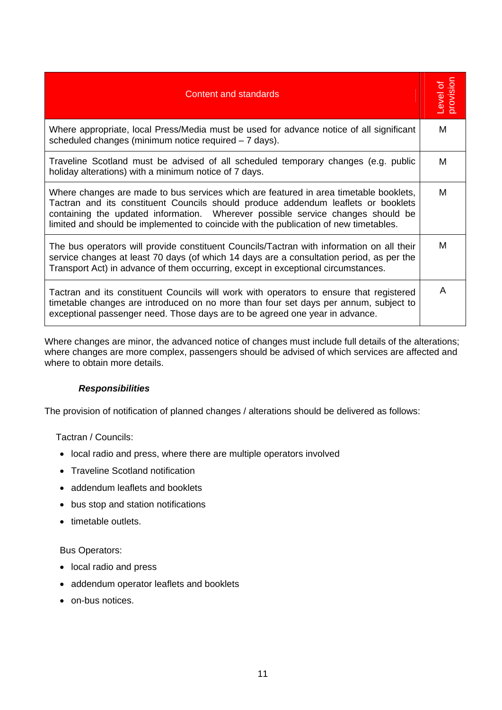| <b>Content and standards</b>                                                                                                                                                                                                                                                                                                                           | Level of<br>provision |
|--------------------------------------------------------------------------------------------------------------------------------------------------------------------------------------------------------------------------------------------------------------------------------------------------------------------------------------------------------|-----------------------|
| Where appropriate, local Press/Media must be used for advance notice of all significant<br>scheduled changes (minimum notice required – 7 days).                                                                                                                                                                                                       | м                     |
| Traveline Scotland must be advised of all scheduled temporary changes (e.g. public<br>holiday alterations) with a minimum notice of 7 days.                                                                                                                                                                                                            | М                     |
| Where changes are made to bus services which are featured in area timetable booklets,<br>Tactran and its constituent Councils should produce addendum leaflets or booklets<br>containing the updated information. Wherever possible service changes should be<br>limited and should be implemented to coincide with the publication of new timetables. | м                     |
| The bus operators will provide constituent Councils/Tactran with information on all their<br>service changes at least 70 days (of which 14 days are a consultation period, as per the<br>Transport Act) in advance of them occurring, except in exceptional circumstances.                                                                             | М                     |
| Tactran and its constituent Councils will work with operators to ensure that registered<br>timetable changes are introduced on no more than four set days per annum, subject to<br>exceptional passenger need. Those days are to be agreed one year in advance.                                                                                        | A                     |

Where changes are minor, the advanced notice of changes must include full details of the alterations; where changes are more complex, passengers should be advised of which services are affected and where to obtain more details.

#### *Responsibilities*

The provision of notification of planned changes / alterations should be delivered as follows:

Tactran / Councils:

- local radio and press, where there are multiple operators involved
- Traveline Scotland notification
- addendum leaflets and booklets
- bus stop and station notifications
- timetable outlets.

Bus Operators:

- local radio and press
- addendum operator leaflets and booklets
- on-bus notices.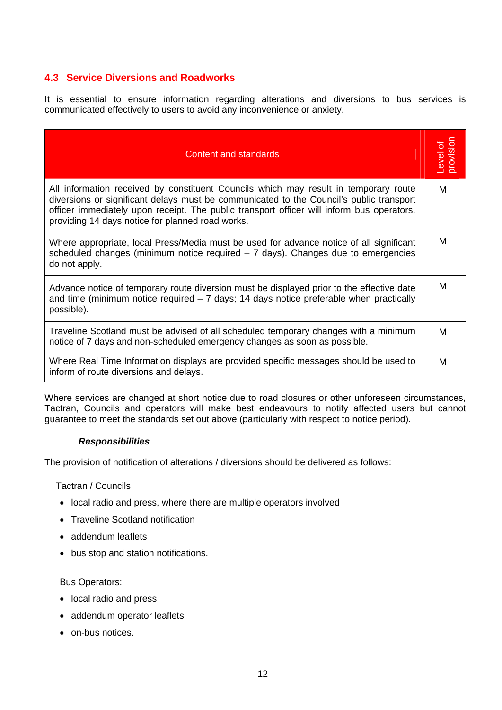## **4.3 Service Diversions and Roadworks**

It is essential to ensure information regarding alterations and diversions to bus services is communicated effectively to users to avoid any inconvenience or anxiety.

| <b>Content and standards</b>                                                                                                                                                                                                                                                                                                     | provision<br>ð<br><b>Level</b> |
|----------------------------------------------------------------------------------------------------------------------------------------------------------------------------------------------------------------------------------------------------------------------------------------------------------------------------------|--------------------------------|
| All information received by constituent Councils which may result in temporary route<br>diversions or significant delays must be communicated to the Council's public transport<br>officer immediately upon receipt. The public transport officer will inform bus operators,<br>providing 14 days notice for planned road works. | м                              |
| Where appropriate, local Press/Media must be used for advance notice of all significant<br>scheduled changes (minimum notice required $-7$ days). Changes due to emergencies<br>do not apply.                                                                                                                                    | м                              |
| Advance notice of temporary route diversion must be displayed prior to the effective date<br>and time (minimum notice required $-7$ days; 14 days notice preferable when practically<br>possible).                                                                                                                               | м                              |
| Traveline Scotland must be advised of all scheduled temporary changes with a minimum<br>notice of 7 days and non-scheduled emergency changes as soon as possible.                                                                                                                                                                | м                              |
| Where Real Time Information displays are provided specific messages should be used to<br>inform of route diversions and delays.                                                                                                                                                                                                  | M                              |

Where services are changed at short notice due to road closures or other unforeseen circumstances, Tactran, Councils and operators will make best endeavours to notify affected users but cannot guarantee to meet the standards set out above (particularly with respect to notice period).

#### *Responsibilities*

The provision of notification of alterations / diversions should be delivered as follows:

Tactran / Councils:

- local radio and press, where there are multiple operators involved
- Traveline Scotland notification
- addendum leaflets
- bus stop and station notifications.

Bus Operators:

- local radio and press
- addendum operator leaflets
- on-bus notices.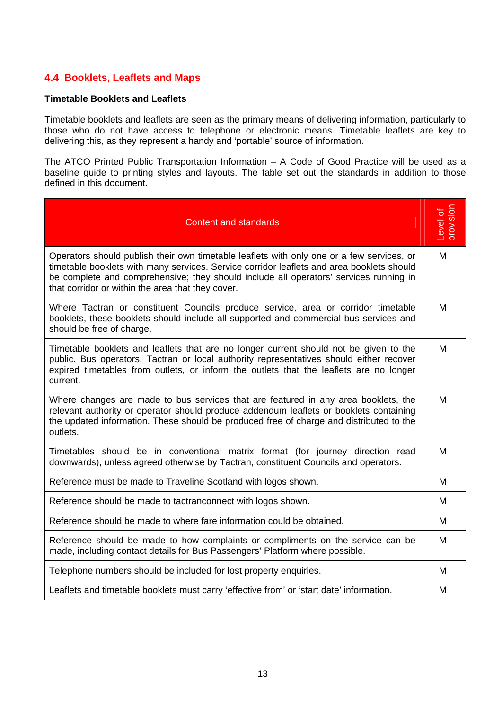## **4.4 Booklets, Leaflets and Maps**

#### **Timetable Booklets and Leaflets**

Timetable booklets and leaflets are seen as the primary means of delivering information, particularly to those who do not have access to telephone or electronic means. Timetable leaflets are key to delivering this, as they represent a handy and 'portable' source of information.

The ATCO Printed Public Transportation Information – A Code of Good Practice will be used as a baseline guide to printing styles and layouts. The table set out the standards in addition to those defined in this document.

| <b>Content and standards</b>                                                                                                                                                                                                                                                                                                         | provision<br>Level of |
|--------------------------------------------------------------------------------------------------------------------------------------------------------------------------------------------------------------------------------------------------------------------------------------------------------------------------------------|-----------------------|
| Operators should publish their own timetable leaflets with only one or a few services, or<br>timetable booklets with many services. Service corridor leaflets and area booklets should<br>be complete and comprehensive; they should include all operators' services running in<br>that corridor or within the area that they cover. | M                     |
| Where Tactran or constituent Councils produce service, area or corridor timetable<br>booklets, these booklets should include all supported and commercial bus services and<br>should be free of charge.                                                                                                                              | M                     |
| Timetable booklets and leaflets that are no longer current should not be given to the<br>public. Bus operators, Tactran or local authority representatives should either recover<br>expired timetables from outlets, or inform the outlets that the leaflets are no longer<br>current.                                               | M                     |
| Where changes are made to bus services that are featured in any area booklets, the<br>relevant authority or operator should produce addendum leaflets or booklets containing<br>the updated information. These should be produced free of charge and distributed to the<br>outlets.                                                  | M                     |
| Timetables should be in conventional matrix format (for journey direction read<br>downwards), unless agreed otherwise by Tactran, constituent Councils and operators.                                                                                                                                                                | M                     |
| Reference must be made to Traveline Scotland with logos shown.                                                                                                                                                                                                                                                                       | М                     |
| Reference should be made to tactranconnect with logos shown.                                                                                                                                                                                                                                                                         | М                     |
| Reference should be made to where fare information could be obtained.                                                                                                                                                                                                                                                                | M                     |
| Reference should be made to how complaints or compliments on the service can be<br>made, including contact details for Bus Passengers' Platform where possible.                                                                                                                                                                      | M                     |
| Telephone numbers should be included for lost property enquiries.                                                                                                                                                                                                                                                                    | M                     |
| Leaflets and timetable booklets must carry 'effective from' or 'start date' information.                                                                                                                                                                                                                                             | М                     |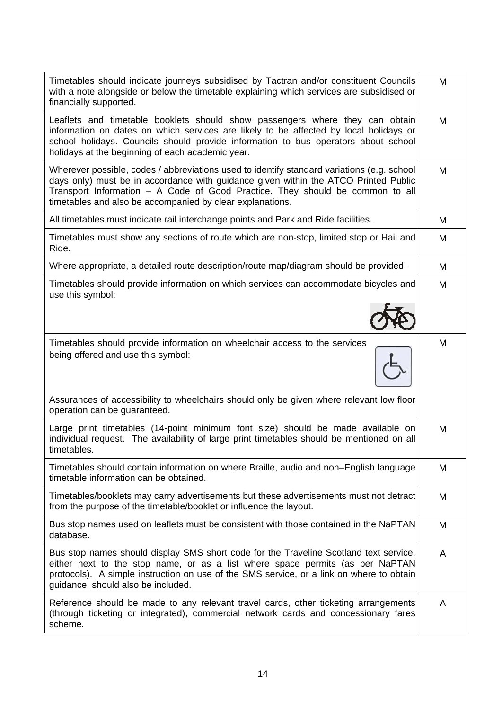| Timetables should indicate journeys subsidised by Tactran and/or constituent Councils<br>with a note alongside or below the timetable explaining which services are subsidised or<br>financially supported.                                                                                                                     | M |
|---------------------------------------------------------------------------------------------------------------------------------------------------------------------------------------------------------------------------------------------------------------------------------------------------------------------------------|---|
| Leaflets and timetable booklets should show passengers where they can obtain<br>information on dates on which services are likely to be affected by local holidays or<br>school holidays. Councils should provide information to bus operators about school<br>holidays at the beginning of each academic year.                 | M |
| Wherever possible, codes / abbreviations used to identify standard variations (e.g. school<br>days only) must be in accordance with guidance given within the ATCO Printed Public<br>Transport Information - A Code of Good Practice. They should be common to all<br>timetables and also be accompanied by clear explanations. | M |
| All timetables must indicate rail interchange points and Park and Ride facilities.                                                                                                                                                                                                                                              | M |
| Timetables must show any sections of route which are non-stop, limited stop or Hail and<br>Ride.                                                                                                                                                                                                                                | M |
| Where appropriate, a detailed route description/route map/diagram should be provided.                                                                                                                                                                                                                                           | M |
| Timetables should provide information on which services can accommodate bicycles and<br>use this symbol:                                                                                                                                                                                                                        | M |
| Timetables should provide information on wheelchair access to the services<br>being offered and use this symbol:<br>Assurances of accessibility to wheelchairs should only be given where relevant low floor                                                                                                                    | M |
| operation can be guaranteed.                                                                                                                                                                                                                                                                                                    |   |
| Large print timetables (14-point minimum font size) should be made available on<br>individual request. The availability of large print timetables should be mentioned on all<br>timetables.                                                                                                                                     | M |
| Timetables should contain information on where Braille, audio and non-English language<br>timetable information can be obtained.                                                                                                                                                                                                | M |
| Timetables/booklets may carry advertisements but these advertisements must not detract<br>from the purpose of the timetable/booklet or influence the layout.                                                                                                                                                                    | M |
| Bus stop names used on leaflets must be consistent with those contained in the NaPTAN<br>database.                                                                                                                                                                                                                              | M |
| Bus stop names should display SMS short code for the Traveline Scotland text service,<br>either next to the stop name, or as a list where space permits (as per NaPTAN<br>protocols). A simple instruction on use of the SMS service, or a link on where to obtain<br>guidance, should also be included.                        | A |
| Reference should be made to any relevant travel cards, other ticketing arrangements<br>(through ticketing or integrated), commercial network cards and concessionary fares<br>scheme.                                                                                                                                           | A |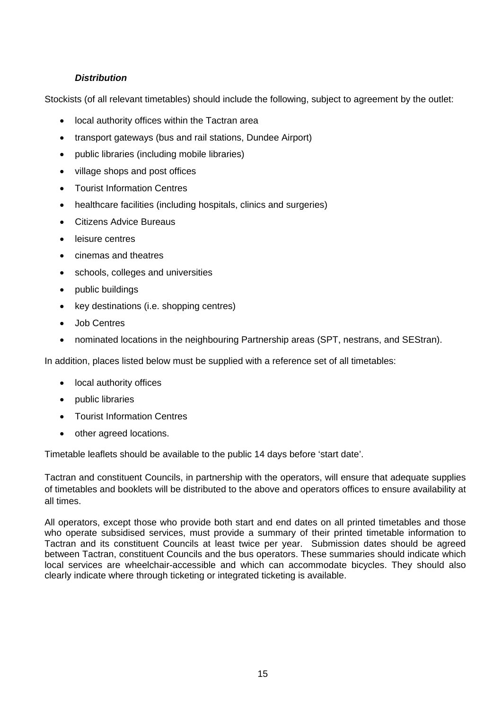## *Distribution*

Stockists (of all relevant timetables) should include the following, subject to agreement by the outlet:

- local authority offices within the Tactran area
- transport gateways (bus and rail stations, Dundee Airport)
- public libraries (including mobile libraries)
- village shops and post offices
- Tourist Information Centres
- healthcare facilities (including hospitals, clinics and surgeries)
- Citizens Advice Bureaus
- leisure centres
- cinemas and theatres
- schools, colleges and universities
- public buildings
- key destinations (i.e. shopping centres)
- Job Centres
- nominated locations in the neighbouring Partnership areas (SPT, nestrans, and SEStran).

In addition, places listed below must be supplied with a reference set of all timetables:

- local authority offices
- public libraries
- Tourist Information Centres
- other agreed locations.

Timetable leaflets should be available to the public 14 days before 'start date'.

Tactran and constituent Councils, in partnership with the operators, will ensure that adequate supplies of timetables and booklets will be distributed to the above and operators offices to ensure availability at all times.

All operators, except those who provide both start and end dates on all printed timetables and those who operate subsidised services, must provide a summary of their printed timetable information to Tactran and its constituent Councils at least twice per year. Submission dates should be agreed between Tactran, constituent Councils and the bus operators. These summaries should indicate which local services are wheelchair-accessible and which can accommodate bicycles. They should also clearly indicate where through ticketing or integrated ticketing is available.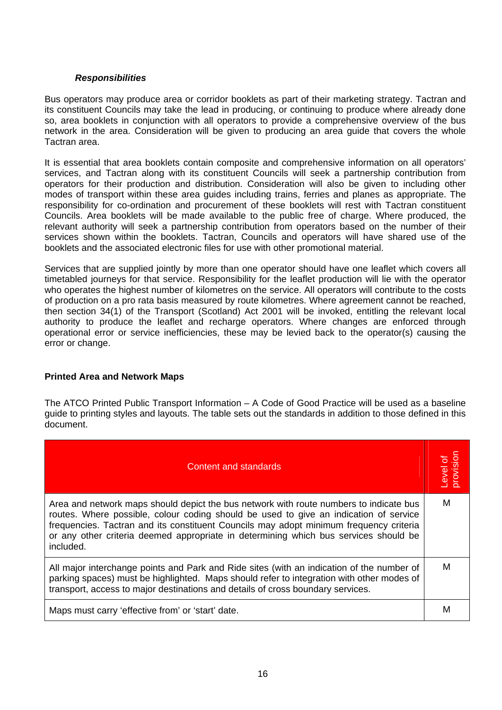#### *Responsibilities*

Bus operators may produce area or corridor booklets as part of their marketing strategy. Tactran and its constituent Councils may take the lead in producing, or continuing to produce where already done so, area booklets in conjunction with all operators to provide a comprehensive overview of the bus network in the area. Consideration will be given to producing an area guide that covers the whole Tactran area.

It is essential that area booklets contain composite and comprehensive information on all operators' services, and Tactran along with its constituent Councils will seek a partnership contribution from operators for their production and distribution. Consideration will also be given to including other modes of transport within these area guides including trains, ferries and planes as appropriate. The responsibility for co-ordination and procurement of these booklets will rest with Tactran constituent Councils. Area booklets will be made available to the public free of charge. Where produced, the relevant authority will seek a partnership contribution from operators based on the number of their services shown within the booklets. Tactran, Councils and operators will have shared use of the booklets and the associated electronic files for use with other promotional material.

Services that are supplied jointly by more than one operator should have one leaflet which covers all timetabled journeys for that service. Responsibility for the leaflet production will lie with the operator who operates the highest number of kilometres on the service. All operators will contribute to the costs of production on a pro rata basis measured by route kilometres. Where agreement cannot be reached, then section 34(1) of the Transport (Scotland) Act 2001 will be invoked, entitling the relevant local authority to produce the leaflet and recharge operators. Where changes are enforced through operational error or service inefficiencies, these may be levied back to the operator(s) causing the error or change.

#### **Printed Area and Network Maps**

The ATCO Printed Public Transport Information – A Code of Good Practice will be used as a baseline guide to printing styles and layouts. The table sets out the standards in addition to those defined in this document.

| Content and standards                                                                                                                                                                                                                                                                                                                                                          | Level of<br>provision |
|--------------------------------------------------------------------------------------------------------------------------------------------------------------------------------------------------------------------------------------------------------------------------------------------------------------------------------------------------------------------------------|-----------------------|
| Area and network maps should depict the bus network with route numbers to indicate bus<br>routes. Where possible, colour coding should be used to give an indication of service<br>frequencies. Tactran and its constituent Councils may adopt minimum frequency criteria<br>or any other criteria deemed appropriate in determining which bus services should be<br>included. | м                     |
| All major interchange points and Park and Ride sites (with an indication of the number of<br>parking spaces) must be highlighted. Maps should refer to integration with other modes of<br>transport, access to major destinations and details of cross boundary services.                                                                                                      | м                     |
| Maps must carry 'effective from' or 'start' date.                                                                                                                                                                                                                                                                                                                              | M                     |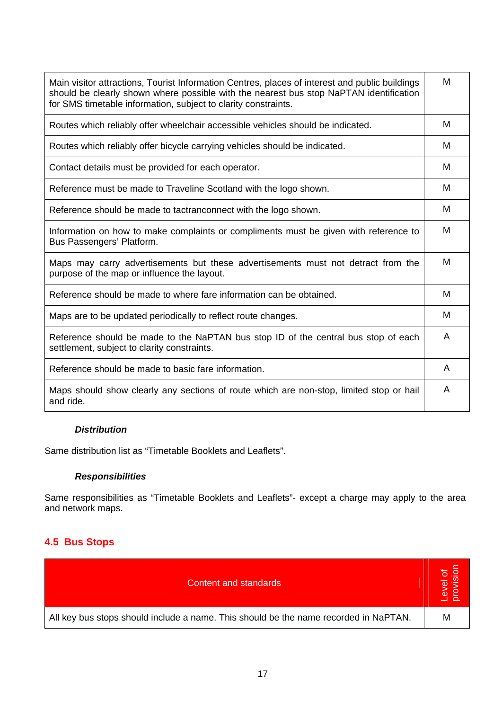| Main visitor attractions, Tourist Information Centres, places of interest and public buildings<br>should be clearly shown where possible with the nearest bus stop NaPTAN identification<br>for SMS timetable information, subject to clarity constraints. | M |
|------------------------------------------------------------------------------------------------------------------------------------------------------------------------------------------------------------------------------------------------------------|---|
| Routes which reliably offer wheelchair accessible vehicles should be indicated.                                                                                                                                                                            | M |
| Routes which reliably offer bicycle carrying vehicles should be indicated.                                                                                                                                                                                 | M |
| Contact details must be provided for each operator.                                                                                                                                                                                                        | м |
| Reference must be made to Traveline Scotland with the logo shown.                                                                                                                                                                                          | м |
| Reference should be made to tactranconnect with the logo shown.                                                                                                                                                                                            | M |
| Information on how to make complaints or compliments must be given with reference to<br>Bus Passengers' Platform.                                                                                                                                          | M |
| Maps may carry advertisements but these advertisements must not detract from the<br>purpose of the map or influence the layout.                                                                                                                            | м |
| Reference should be made to where fare information can be obtained.                                                                                                                                                                                        | м |
| Maps are to be updated periodically to reflect route changes.                                                                                                                                                                                              | M |
| Reference should be made to the NaPTAN bus stop ID of the central bus stop of each<br>settlement, subject to clarity constraints.                                                                                                                          | A |
| Reference should be made to basic fare information.                                                                                                                                                                                                        | A |
| Maps should show clearly any sections of route which are non-stop, limited stop or hail<br>and ride.                                                                                                                                                       | A |

## *Distribution*

Same distribution list as "Timetable Booklets and Leaflets".

## *Responsibilities*

Same responsibilities as "Timetable Booklets and Leaflets"- except a charge may apply to the area and network maps.

## **4.5 Bus Stops**

| Content and standards                                                                | rel of |
|--------------------------------------------------------------------------------------|--------|
| All key bus stops should include a name. This should be the name recorded in NaPTAN. | M      |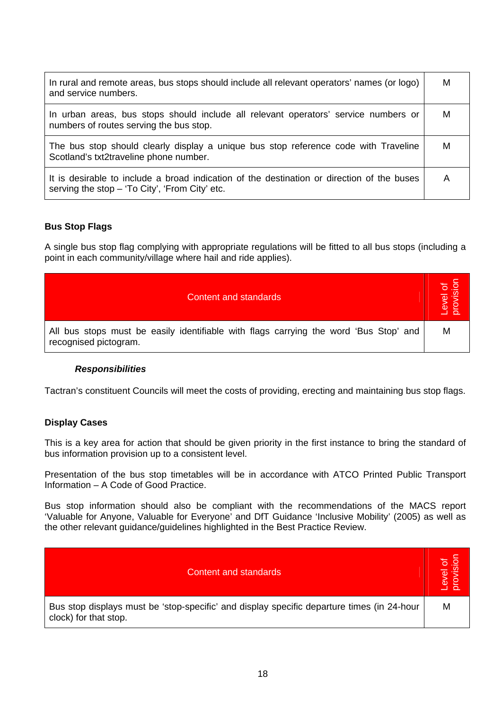| In rural and remote areas, bus stops should include all relevant operators' names (or logo)<br>and service numbers.                          | M |
|----------------------------------------------------------------------------------------------------------------------------------------------|---|
| In urban areas, bus stops should include all relevant operators' service numbers or<br>numbers of routes serving the bus stop.               | M |
| The bus stop should clearly display a unique bus stop reference code with Traveline<br>Scotland's txt2traveline phone number.                | M |
| It is desirable to include a broad indication of the destination or direction of the buses<br>serving the stop - 'To City', 'From City' etc. | A |

#### **Bus Stop Flags**

A single bus stop flag complying with appropriate regulations will be fitted to all bus stops (including a point in each community/village where hail and ride applies).

| Content and standards                                                                                          | Level of<br>provision |
|----------------------------------------------------------------------------------------------------------------|-----------------------|
| All bus stops must be easily identifiable with flags carrying the word 'Bus Stop' and<br>recognised pictogram. | M                     |

#### *Responsibilities*

Tactran's constituent Councils will meet the costs of providing, erecting and maintaining bus stop flags.

#### **Display Cases**

This is a key area for action that should be given priority in the first instance to bring the standard of bus information provision up to a consistent level.

Presentation of the bus stop timetables will be in accordance with ATCO Printed Public Transport Information – A Code of Good Practice.

Bus stop information should also be compliant with the recommendations of the MACS report 'Valuable for Anyone, Valuable for Everyone' and DfT Guidance 'Inclusive Mobility' (2005) as well as the other relevant guidance/guidelines highlighted in the Best Practice Review.

| <b>Content and standards</b>                                                                                        | Level of<br>provision<br>$\sigma$ |
|---------------------------------------------------------------------------------------------------------------------|-----------------------------------|
| Bus stop displays must be 'stop-specific' and display specific departure times (in 24-hour<br>clock) for that stop. | M                                 |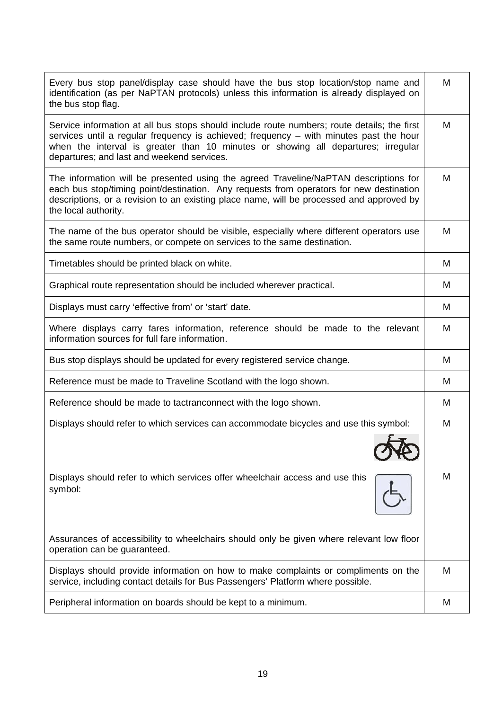| Every bus stop panel/display case should have the bus stop location/stop name and<br>identification (as per NaPTAN protocols) unless this information is already displayed on<br>the bus stop flag.                                                                                                                      | м |
|--------------------------------------------------------------------------------------------------------------------------------------------------------------------------------------------------------------------------------------------------------------------------------------------------------------------------|---|
| Service information at all bus stops should include route numbers; route details; the first<br>services until a regular frequency is achieved; frequency - with minutes past the hour<br>when the interval is greater than 10 minutes or showing all departures; irregular<br>departures; and last and weekend services. | м |
| The information will be presented using the agreed Traveline/NaPTAN descriptions for<br>each bus stop/timing point/destination. Any requests from operators for new destination<br>descriptions, or a revision to an existing place name, will be processed and approved by<br>the local authority.                      | M |
| The name of the bus operator should be visible, especially where different operators use<br>the same route numbers, or compete on services to the same destination.                                                                                                                                                      | м |
| Timetables should be printed black on white.                                                                                                                                                                                                                                                                             | м |
| Graphical route representation should be included wherever practical.                                                                                                                                                                                                                                                    | M |
| Displays must carry 'effective from' or 'start' date.                                                                                                                                                                                                                                                                    | M |
| Where displays carry fares information, reference should be made to the relevant<br>information sources for full fare information.                                                                                                                                                                                       | м |
| Bus stop displays should be updated for every registered service change.                                                                                                                                                                                                                                                 | М |
| Reference must be made to Traveline Scotland with the logo shown.                                                                                                                                                                                                                                                        | М |
| Reference should be made to tactranconnect with the logo shown.                                                                                                                                                                                                                                                          | м |
| Displays should refer to which services can accommodate bicycles and use this symbol:                                                                                                                                                                                                                                    | M |
| Displays should refer to which services offer wheelchair access and use this<br>symbol:                                                                                                                                                                                                                                  | M |
| Assurances of accessibility to wheelchairs should only be given where relevant low floor<br>operation can be guaranteed.                                                                                                                                                                                                 |   |
| Displays should provide information on how to make complaints or compliments on the<br>service, including contact details for Bus Passengers' Platform where possible.                                                                                                                                                   | М |
| Peripheral information on boards should be kept to a minimum.                                                                                                                                                                                                                                                            | M |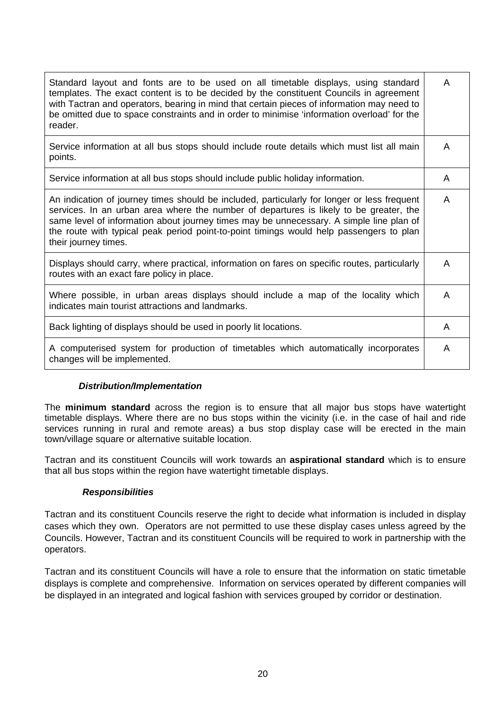| Standard layout and fonts are to be used on all timetable displays, using standard<br>templates. The exact content is to be decided by the constituent Councils in agreement<br>with Tactran and operators, bearing in mind that certain pieces of information may need to<br>be omitted due to space constraints and in order to minimise 'information overload' for the<br>reader.                | A |
|-----------------------------------------------------------------------------------------------------------------------------------------------------------------------------------------------------------------------------------------------------------------------------------------------------------------------------------------------------------------------------------------------------|---|
| Service information at all bus stops should include route details which must list all main<br>points.                                                                                                                                                                                                                                                                                               | A |
| Service information at all bus stops should include public holiday information.                                                                                                                                                                                                                                                                                                                     | A |
| An indication of journey times should be included, particularly for longer or less frequent<br>services. In an urban area where the number of departures is likely to be greater, the<br>same level of information about journey times may be unnecessary. A simple line plan of<br>the route with typical peak period point-to-point timings would help passengers to plan<br>their journey times. | A |
| Displays should carry, where practical, information on fares on specific routes, particularly<br>routes with an exact fare policy in place.                                                                                                                                                                                                                                                         | A |
| Where possible, in urban areas displays should include a map of the locality which<br>indicates main tourist attractions and landmarks.                                                                                                                                                                                                                                                             | A |
| Back lighting of displays should be used in poorly lit locations.                                                                                                                                                                                                                                                                                                                                   | A |
| A computerised system for production of timetables which automatically incorporates<br>changes will be implemented.                                                                                                                                                                                                                                                                                 | A |

## *Distribution/Implementation*

The **minimum standard** across the region is to ensure that all major bus stops have watertight timetable displays. Where there are no bus stops within the vicinity (i.e. in the case of hail and ride services running in rural and remote areas) a bus stop display case will be erected in the main town/village square or alternative suitable location.

Tactran and its constituent Councils will work towards an **aspirational standard** which is to ensure that all bus stops within the region have watertight timetable displays.

#### *Responsibilities*

Tactran and its constituent Councils reserve the right to decide what information is included in display cases which they own. Operators are not permitted to use these display cases unless agreed by the Councils. However, Tactran and its constituent Councils will be required to work in partnership with the operators.

Tactran and its constituent Councils will have a role to ensure that the information on static timetable displays is complete and comprehensive. Information on services operated by different companies will be displayed in an integrated and logical fashion with services grouped by corridor or destination.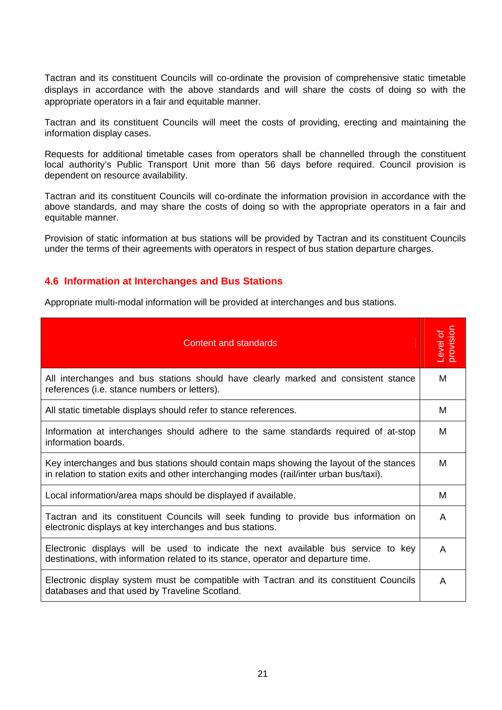Tactran and its constituent Councils will co-ordinate the provision of comprehensive static timetable displays in accordance with the above standards and will share the costs of doing so with the appropriate operators in a fair and equitable manner.

Tactran and its constituent Councils will meet the costs of providing, erecting and maintaining the information display cases.

Requests for additional timetable cases from operators shall be channelled through the constituent local authority's Public Transport Unit more than 56 days before required. Council provision is dependent on resource availability.

Tactran and its constituent Councils will co-ordinate the information provision in accordance with the above standards, and may share the costs of doing so with the appropriate operators in a fair and equitable manner.

Provision of static information at bus stations will be provided by Tactran and its constituent Councils under the terms of their agreements with operators in respect of bus station departure charges.

#### **4.6 Information at Interchanges and Bus Stations**

Appropriate multi-modal information will be provided at interchanges and bus stations.

| Content and standards                                                                                                                                                              | noisivorc<br>-evel of |
|------------------------------------------------------------------------------------------------------------------------------------------------------------------------------------|-----------------------|
| All interchanges and bus stations should have clearly marked and consistent stance<br>references (i.e. stance numbers or letters).                                                 | м                     |
| All static timetable displays should refer to stance references.                                                                                                                   | м                     |
| Information at interchanges should adhere to the same standards required of at-stop<br>information boards.                                                                         | м                     |
| Key interchanges and bus stations should contain maps showing the layout of the stances<br>in relation to station exits and other interchanging modes (rail/inter urban bus/taxi). | м                     |
| Local information/area maps should be displayed if available.                                                                                                                      | м                     |
| Tactran and its constituent Councils will seek funding to provide bus information on<br>electronic displays at key interchanges and bus stations.                                  | A                     |
| Electronic displays will be used to indicate the next available bus service to key<br>destinations, with information related to its stance, operator and departure time.           | A                     |
| Electronic display system must be compatible with Tactran and its constituent Councils<br>databases and that used by Traveline Scotland.                                           | A                     |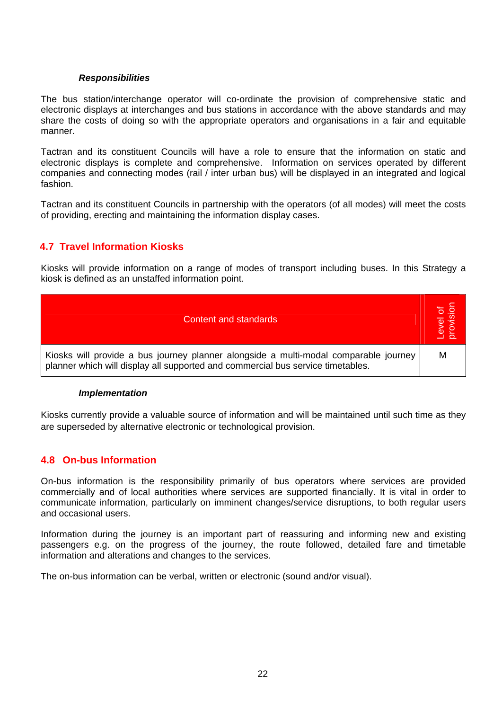#### *Responsibilities*

The bus station/interchange operator will co-ordinate the provision of comprehensive static and electronic displays at interchanges and bus stations in accordance with the above standards and may share the costs of doing so with the appropriate operators and organisations in a fair and equitable manner.

Tactran and its constituent Councils will have a role to ensure that the information on static and electronic displays is complete and comprehensive. Information on services operated by different companies and connecting modes (rail / inter urban bus) will be displayed in an integrated and logical fashion.

Tactran and its constituent Councils in partnership with the operators (of all modes) will meet the costs of providing, erecting and maintaining the information display cases.

## **4.7 Travel Information Kiosks**

Kiosks will provide information on a range of modes of transport including buses. In this Strategy a kiosk is defined as an unstaffed information point.



#### *Implementation*

Kiosks currently provide a valuable source of information and will be maintained until such time as they are superseded by alternative electronic or technological provision.

## **4.8 On-bus Information**

On-bus information is the responsibility primarily of bus operators where services are provided commercially and of local authorities where services are supported financially. It is vital in order to communicate information, particularly on imminent changes/service disruptions, to both regular users and occasional users.

Information during the journey is an important part of reassuring and informing new and existing passengers e.g. on the progress of the journey, the route followed, detailed fare and timetable information and alterations and changes to the services.

The on-bus information can be verbal, written or electronic (sound and/or visual).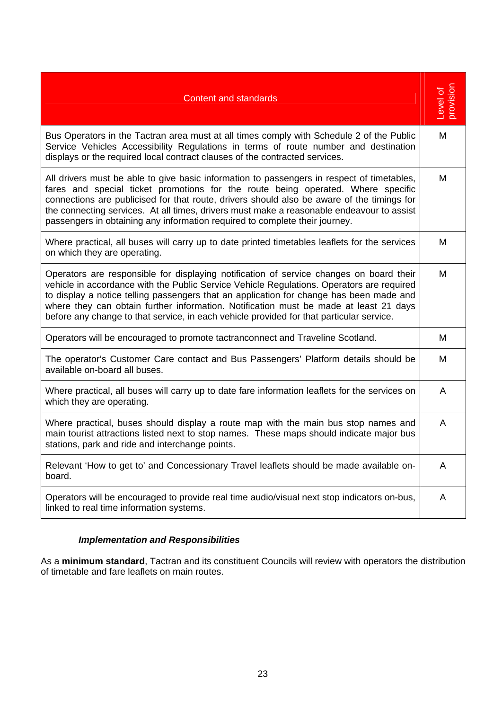| <b>Content and standards</b>                                                                                                                                                                                                                                                                                                                                                                                                                                         | Level of<br>provision |
|----------------------------------------------------------------------------------------------------------------------------------------------------------------------------------------------------------------------------------------------------------------------------------------------------------------------------------------------------------------------------------------------------------------------------------------------------------------------|-----------------------|
| Bus Operators in the Tactran area must at all times comply with Schedule 2 of the Public<br>Service Vehicles Accessibility Regulations in terms of route number and destination<br>displays or the required local contract clauses of the contracted services.                                                                                                                                                                                                       | M                     |
| All drivers must be able to give basic information to passengers in respect of timetables,<br>fares and special ticket promotions for the route being operated. Where specific<br>connections are publicised for that route, drivers should also be aware of the timings for<br>the connecting services. At all times, drivers must make a reasonable endeavour to assist<br>passengers in obtaining any information required to complete their journey.             | M                     |
| Where practical, all buses will carry up to date printed timetables leaflets for the services<br>on which they are operating.                                                                                                                                                                                                                                                                                                                                        | M                     |
| Operators are responsible for displaying notification of service changes on board their<br>vehicle in accordance with the Public Service Vehicle Regulations. Operators are required<br>to display a notice telling passengers that an application for change has been made and<br>where they can obtain further information. Notification must be made at least 21 days<br>before any change to that service, in each vehicle provided for that particular service. | M                     |
| Operators will be encouraged to promote tactranconnect and Traveline Scotland.                                                                                                                                                                                                                                                                                                                                                                                       | M                     |
| The operator's Customer Care contact and Bus Passengers' Platform details should be<br>available on-board all buses.                                                                                                                                                                                                                                                                                                                                                 | M                     |
| Where practical, all buses will carry up to date fare information leaflets for the services on<br>which they are operating.                                                                                                                                                                                                                                                                                                                                          | A                     |
| Where practical, buses should display a route map with the main bus stop names and<br>main tourist attractions listed next to stop names. These maps should indicate major bus<br>stations, park and ride and interchange points.                                                                                                                                                                                                                                    | A                     |
| Relevant 'How to get to' and Concessionary Travel leaflets should be made available on-<br>board.                                                                                                                                                                                                                                                                                                                                                                    | A                     |
| Operators will be encouraged to provide real time audio/visual next stop indicators on-bus,<br>linked to real time information systems.                                                                                                                                                                                                                                                                                                                              | A                     |

## *Implementation and Responsibilities*

As a **minimum standard**, Tactran and its constituent Councils will review with operators the distribution of timetable and fare leaflets on main routes.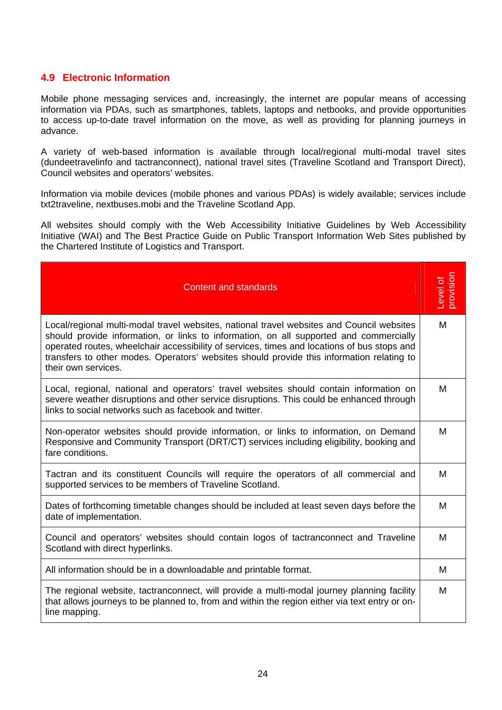## **4.9 Electronic Information**

Mobile phone messaging services and, increasingly, the internet are popular means of accessing information via PDAs, such as smartphones, tablets, laptops and netbooks, and provide opportunities to access up-to-date travel information on the move, as well as providing for planning journeys in advance.

A variety of web-based information is available through local/regional multi-modal travel sites (dundeetravelinfo and tactranconnect), national travel sites (Traveline Scotland and Transport Direct), Council websites and operators' websites.

Information via mobile devices (mobile phones and various PDAs) is widely available; services include txt2traveline, nextbuses.mobi and the Traveline Scotland App.

All websites should comply with the Web Accessibility Initiative Guidelines by Web Accessibility Initiative (WAI) and The Best Practice Guide on Public Transport Information Web Sites published by the Chartered Institute of Logistics and Transport.

| <b>Content and standards</b>                                                                                                                                                                                                                                                                                                                                                                           | Level of<br>provision |
|--------------------------------------------------------------------------------------------------------------------------------------------------------------------------------------------------------------------------------------------------------------------------------------------------------------------------------------------------------------------------------------------------------|-----------------------|
| Local/regional multi-modal travel websites, national travel websites and Council websites<br>should provide information, or links to information, on all supported and commercially<br>operated routes, wheelchair accessibility of services, times and locations of bus stops and<br>transfers to other modes. Operators' websites should provide this information relating to<br>their own services. | M                     |
| Local, regional, national and operators' travel websites should contain information on<br>severe weather disruptions and other service disruptions. This could be enhanced through<br>links to social networks such as facebook and twitter.                                                                                                                                                           | м                     |
| Non-operator websites should provide information, or links to information, on Demand<br>Responsive and Community Transport (DRT/CT) services including eligibility, booking and<br>fare conditions.                                                                                                                                                                                                    | м                     |
| Tactran and its constituent Councils will require the operators of all commercial and<br>supported services to be members of Traveline Scotland.                                                                                                                                                                                                                                                       | M                     |
| Dates of forthcoming timetable changes should be included at least seven days before the<br>date of implementation.                                                                                                                                                                                                                                                                                    | M                     |
| Council and operators' websites should contain logos of tactranconnect and Traveline<br>Scotland with direct hyperlinks.                                                                                                                                                                                                                                                                               | M                     |
| All information should be in a downloadable and printable format.                                                                                                                                                                                                                                                                                                                                      | м                     |
| The regional website, tactranconnect, will provide a multi-modal journey planning facility<br>that allows journeys to be planned to, from and within the region either via text entry or on-<br>line mapping.                                                                                                                                                                                          | М                     |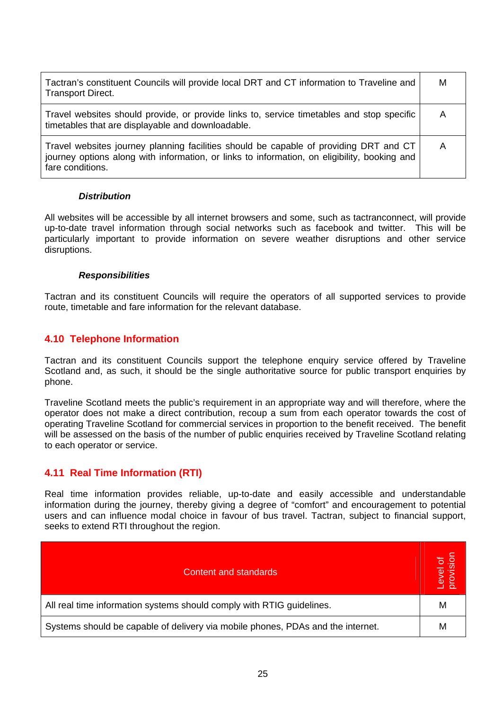| Tactran's constituent Councils will provide local DRT and CT information to Traveline and<br><b>Transport Direct.</b>                                                                                     | M |
|-----------------------------------------------------------------------------------------------------------------------------------------------------------------------------------------------------------|---|
| Travel websites should provide, or provide links to, service timetables and stop specific<br>timetables that are displayable and downloadable.                                                            | A |
| Travel websites journey planning facilities should be capable of providing DRT and CT<br>journey options along with information, or links to information, on eligibility, booking and<br>fare conditions. | A |

#### *Distribution*

All websites will be accessible by all internet browsers and some, such as tactranconnect, will provide up-to-date travel information through social networks such as facebook and twitter. This will be particularly important to provide information on severe weather disruptions and other service disruptions.

#### *Responsibilities*

Tactran and its constituent Councils will require the operators of all supported services to provide route, timetable and fare information for the relevant database.

## **4.10 Telephone Information**

Tactran and its constituent Councils support the telephone enquiry service offered by Traveline Scotland and, as such, it should be the single authoritative source for public transport enquiries by phone.

Traveline Scotland meets the public's requirement in an appropriate way and will therefore, where the operator does not make a direct contribution, recoup a sum from each operator towards the cost of operating Traveline Scotland for commercial services in proportion to the benefit received. The benefit will be assessed on the basis of the number of public enquiries received by Traveline Scotland relating to each operator or service.

## **4.11 Real Time Information (RTI)**

Real time information provides reliable, up-to-date and easily accessible and understandable information during the journey, thereby giving a degree of "comfort" and encouragement to potential users and can influence modal choice in favour of bus travel. Tactran, subject to financial support, seeks to extend RTI throughout the region.

| <b>Content and standards</b>                                                    | Level of<br>provision |
|---------------------------------------------------------------------------------|-----------------------|
| All real time information systems should comply with RTIG guidelines.           | М                     |
| Systems should be capable of delivery via mobile phones, PDAs and the internet. | м                     |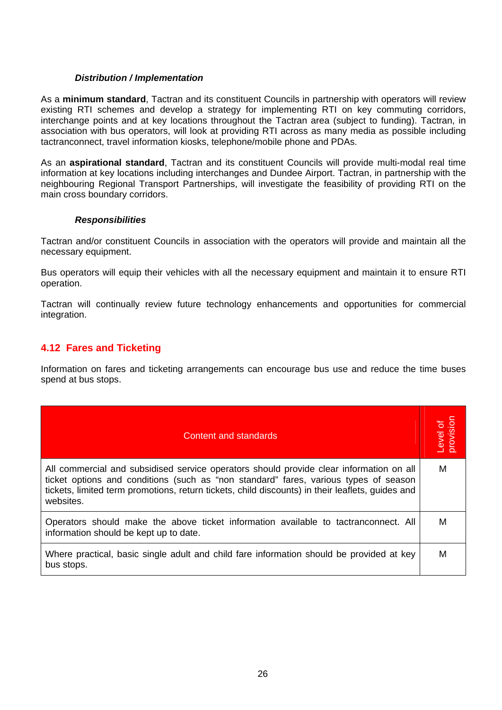#### *Distribution / Implementation*

As a **minimum standard**, Tactran and its constituent Councils in partnership with operators will review existing RTI schemes and develop a strategy for implementing RTI on key commuting corridors, interchange points and at key locations throughout the Tactran area (subject to funding). Tactran, in association with bus operators, will look at providing RTI across as many media as possible including tactranconnect, travel information kiosks, telephone/mobile phone and PDAs.

As an **aspirational standard**, Tactran and its constituent Councils will provide multi-modal real time information at key locations including interchanges and Dundee Airport. Tactran, in partnership with the neighbouring Regional Transport Partnerships, will investigate the feasibility of providing RTI on the main cross boundary corridors.

#### *Responsibilities*

Tactran and/or constituent Councils in association with the operators will provide and maintain all the necessary equipment.

Bus operators will equip their vehicles with all the necessary equipment and maintain it to ensure RTI operation.

Tactran will continually review future technology enhancements and opportunities for commercial integration.

## **4.12 Fares and Ticketing**

Information on fares and ticketing arrangements can encourage bus use and reduce the time buses spend at bus stops.

| Content and standards                                                                                                                                                                                                                                                                            | Level of<br>provision |
|--------------------------------------------------------------------------------------------------------------------------------------------------------------------------------------------------------------------------------------------------------------------------------------------------|-----------------------|
| All commercial and subsidised service operators should provide clear information on all<br>ticket options and conditions (such as "non standard" fares, various types of season<br>tickets, limited term promotions, return tickets, child discounts) in their leaflets, guides and<br>websites. | M                     |
| Operators should make the above ticket information available to tactranconnect. All<br>information should be kept up to date.                                                                                                                                                                    | м                     |
| Where practical, basic single adult and child fare information should be provided at key<br>bus stops.                                                                                                                                                                                           | M                     |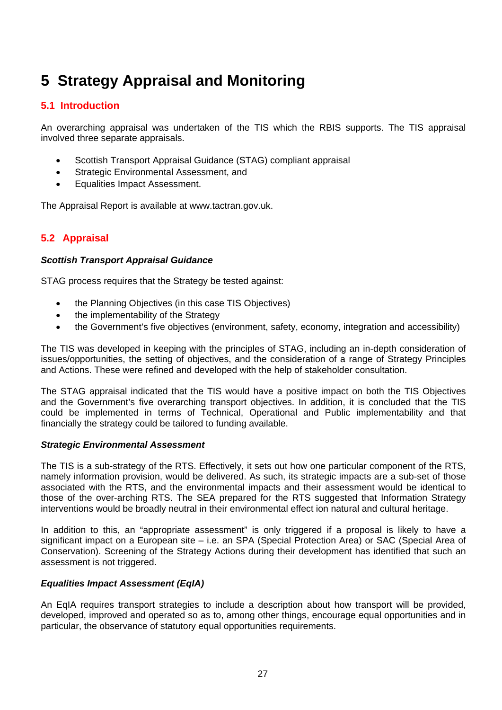## **5 Strategy Appraisal and Monitoring**

## **5.1 Introduction**

An overarching appraisal was undertaken of the TIS which the RBIS supports. The TIS appraisal involved three separate appraisals.

- Scottish Transport Appraisal Guidance (STAG) compliant appraisal
- Strategic Environmental Assessment, and
- Equalities Impact Assessment.

The Appraisal Report is available at www.tactran.gov.uk.

## **5.2 Appraisal**

#### *Scottish Transport Appraisal Guidance*

STAG process requires that the Strategy be tested against:

- the Planning Objectives (in this case TIS Objectives)
- the implementability of the Strategy
- the Government's five objectives (environment, safety, economy, integration and accessibility)

The TIS was developed in keeping with the principles of STAG, including an in-depth consideration of issues/opportunities, the setting of objectives, and the consideration of a range of Strategy Principles and Actions. These were refined and developed with the help of stakeholder consultation.

The STAG appraisal indicated that the TIS would have a positive impact on both the TIS Objectives and the Government's five overarching transport objectives. In addition, it is concluded that the TIS could be implemented in terms of Technical, Operational and Public implementability and that financially the strategy could be tailored to funding available.

#### *Strategic Environmental Assessment*

The TIS is a sub-strategy of the RTS. Effectively, it sets out how one particular component of the RTS, namely information provision, would be delivered. As such, its strategic impacts are a sub-set of those associated with the RTS, and the environmental impacts and their assessment would be identical to those of the over-arching RTS. The SEA prepared for the RTS suggested that Information Strategy interventions would be broadly neutral in their environmental effect ion natural and cultural heritage.

In addition to this, an "appropriate assessment" is only triggered if a proposal is likely to have a significant impact on a European site – i.e. an SPA (Special Protection Area) or SAC (Special Area of Conservation). Screening of the Strategy Actions during their development has identified that such an assessment is not triggered.

## *Equalities Impact Assessment (EqIA)*

An EqIA requires transport strategies to include a description about how transport will be provided, developed, improved and operated so as to, among other things, encourage equal opportunities and in particular, the observance of statutory equal opportunities requirements.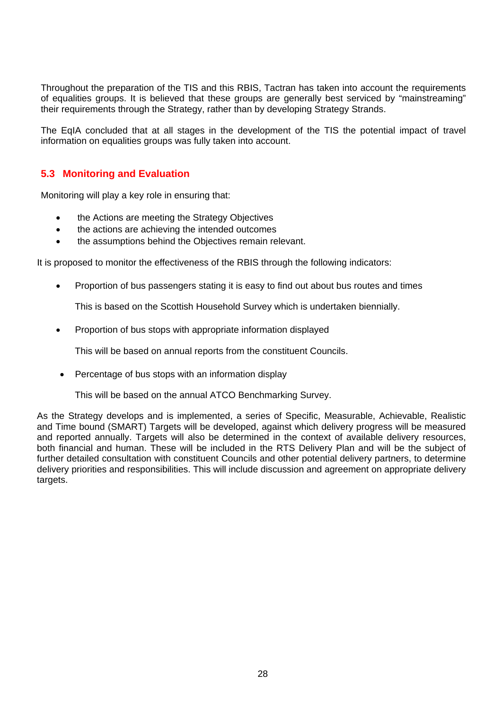Throughout the preparation of the TIS and this RBIS, Tactran has taken into account the requirements of equalities groups. It is believed that these groups are generally best serviced by "mainstreaming" their requirements through the Strategy, rather than by developing Strategy Strands.

The EqIA concluded that at all stages in the development of the TIS the potential impact of travel information on equalities groups was fully taken into account.

## **5.3 Monitoring and Evaluation**

Monitoring will play a key role in ensuring that:

- the Actions are meeting the Strategy Objectives
- the actions are achieving the intended outcomes
- the assumptions behind the Objectives remain relevant.

It is proposed to monitor the effectiveness of the RBIS through the following indicators:

• Proportion of bus passengers stating it is easy to find out about bus routes and times

This is based on the Scottish Household Survey which is undertaken biennially.

• Proportion of bus stops with appropriate information displayed

This will be based on annual reports from the constituent Councils.

• Percentage of bus stops with an information display

This will be based on the annual ATCO Benchmarking Survey.

As the Strategy develops and is implemented, a series of Specific, Measurable, Achievable, Realistic and Time bound (SMART) Targets will be developed, against which delivery progress will be measured and reported annually. Targets will also be determined in the context of available delivery resources, both financial and human. These will be included in the RTS Delivery Plan and will be the subject of further detailed consultation with constituent Councils and other potential delivery partners, to determine delivery priorities and responsibilities. This will include discussion and agreement on appropriate delivery targets.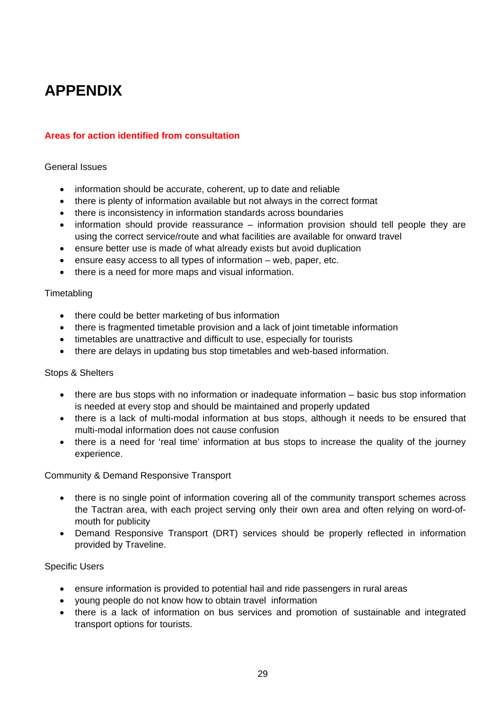## **APPENDIX**

## **Areas for action identified from consultation**

#### General Issues

- information should be accurate, coherent, up to date and reliable
- there is plenty of information available but not always in the correct format
- there is inconsistency in information standards across boundaries
- information should provide reassurance information provision should tell people they are using the correct service/route and what facilities are available for onward travel
- ensure better use is made of what already exists but avoid duplication
- ensure easy access to all types of information web, paper, etc.
- there is a need for more maps and visual information.

#### **Timetabling**

- there could be better marketing of bus information
- there is fragmented timetable provision and a lack of joint timetable information
- timetables are unattractive and difficult to use, especially for tourists
- there are delays in updating bus stop timetables and web-based information.

#### Stops & Shelters

- there are bus stops with no information or inadequate information basic bus stop information is needed at every stop and should be maintained and properly updated
- there is a lack of multi-modal information at bus stops, although it needs to be ensured that multi-modal information does not cause confusion
- there is a need for 'real time' information at bus stops to increase the quality of the journey experience.

#### Community & Demand Responsive Transport

- there is no single point of information covering all of the community transport schemes across the Tactran area, with each project serving only their own area and often relying on word-ofmouth for publicity
- Demand Responsive Transport (DRT) services should be properly reflected in information provided by Traveline.

#### Specific Users

- ensure information is provided to potential hail and ride passengers in rural areas
- young people do not know how to obtain travel information
- there is a lack of information on bus services and promotion of sustainable and integrated transport options for tourists.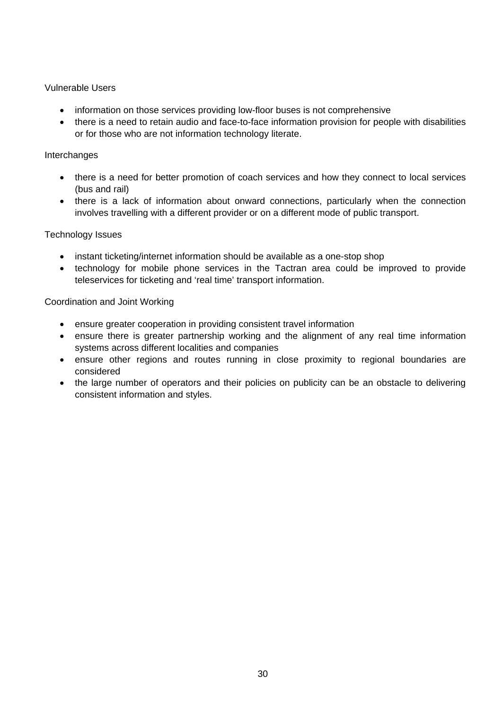#### Vulnerable Users

- information on those services providing low-floor buses is not comprehensive
- there is a need to retain audio and face-to-face information provision for people with disabilities or for those who are not information technology literate.

#### Interchanges

- there is a need for better promotion of coach services and how they connect to local services (bus and rail)
- there is a lack of information about onward connections, particularly when the connection involves travelling with a different provider or on a different mode of public transport.

#### Technology Issues

- instant ticketing/internet information should be available as a one-stop shop
- technology for mobile phone services in the Tactran area could be improved to provide teleservices for ticketing and 'real time' transport information.

#### Coordination and Joint Working

- ensure greater cooperation in providing consistent travel information
- ensure there is greater partnership working and the alignment of any real time information systems across different localities and companies
- ensure other regions and routes running in close proximity to regional boundaries are considered
- the large number of operators and their policies on publicity can be an obstacle to delivering consistent information and styles.